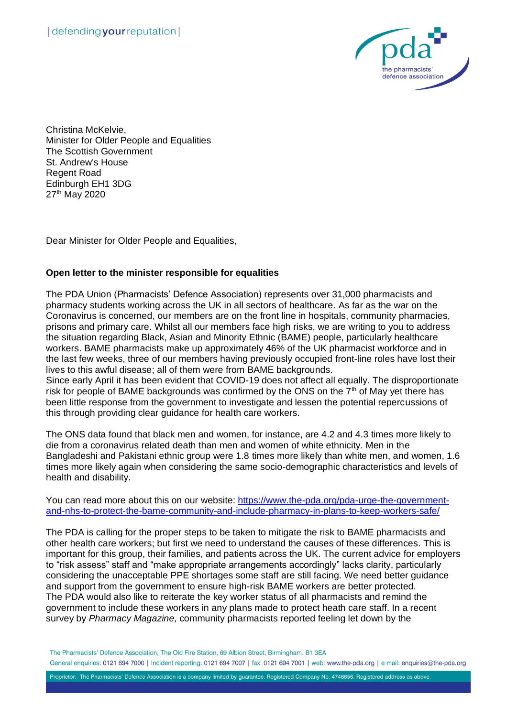

Christina McKelvie, Minister for Older People and Equalities The Scottish Government St. Andrew's House Regent Road Edinburgh EH1 3DG 27<sup>th</sup> May 2020

Dear Minister for Older People and Equalities,

## **Open letter to the minister responsible for equalities**

The PDA Union (Pharmacists' Defence Association) represents over 31,000 pharmacists and pharmacy students working across the UK in all sectors of healthcare. As far as the war on the Coronavirus is concerned, our members are on the front line in hospitals, community pharmacies, prisons and primary care. Whilst all our members face high risks, we are writing to you to address the situation regarding Black, Asian and Minority Ethnic (BAME) people, particularly healthcare workers. BAME pharmacists make up approximately 46% of the UK pharmacist workforce and in the last few weeks, three of our members having previously occupied front-line roles have lost their lives to this awful disease; all of them were from BAME backgrounds.

Since early April it has been evident that COVID-19 does not affect all equally. The disproportionate risk for people of BAME backgrounds was confirmed by the ONS on the  $7<sup>th</sup>$  of May yet there has been little response from the government to investigate and lessen the potential repercussions of this through providing clear guidance for health care workers.

The ONS data found that black men and women, for instance, are 4.2 and 4.3 times more likely to die from a coronavirus related death than men and women of white ethnicity. Men in the Bangladeshi and Pakistani ethnic group were 1.8 times more likely than white men, and women, 1.6 times more likely again when considering the same socio-demographic characteristics and levels of health and disability.

You can read more about this on our website: [https://www.the-pda.org/pda-urge-the-government](https://www.the-pda.org/pda-urge-the-government-and-nhs-to-protect-the-bame-community-and-include-pharmacy-in-plans-to-keep-workers-safe/)[and-nhs-to-protect-the-bame-community-and-include-pharmacy-in-plans-to-keep-workers-safe/](https://www.the-pda.org/pda-urge-the-government-and-nhs-to-protect-the-bame-community-and-include-pharmacy-in-plans-to-keep-workers-safe/)

The PDA is calling for the proper steps to be taken to mitigate the risk to BAME pharmacists and other health care workers; but first we need to understand the causes of these differences. This is important for this group, their families, and patients across the UK. The current advice for employers to "risk assess" staff and "make appropriate arrangements accordingly" lacks clarity, particularly considering the unacceptable PPE shortages some staff are still facing. We need better guidance and support from the government to ensure high-risk BAME workers are better protected. The PDA would also like to reiterate the key worker status of all pharmacists and remind the government to include these workers in any plans made to protect heath care staff. In a recent survey by *Pharmacy Magazine,* community pharmacists reported feeling let down by the

The Pharmacists' Defence Association. The Old Fire Station, 69 Albion Street, Birmingham, B1 3EA General enquiries: 0121 694 7000 | Incident reporting: 0121 694 7007 | fax: 0121 694 7001 | web: www.the-pda.org | e mail: enquiries@the-pda.org

Proprietor:- The Pharmacists' Defence Association is a company limited by guarantee. Registered Company No. 4746656. Registered address as above.